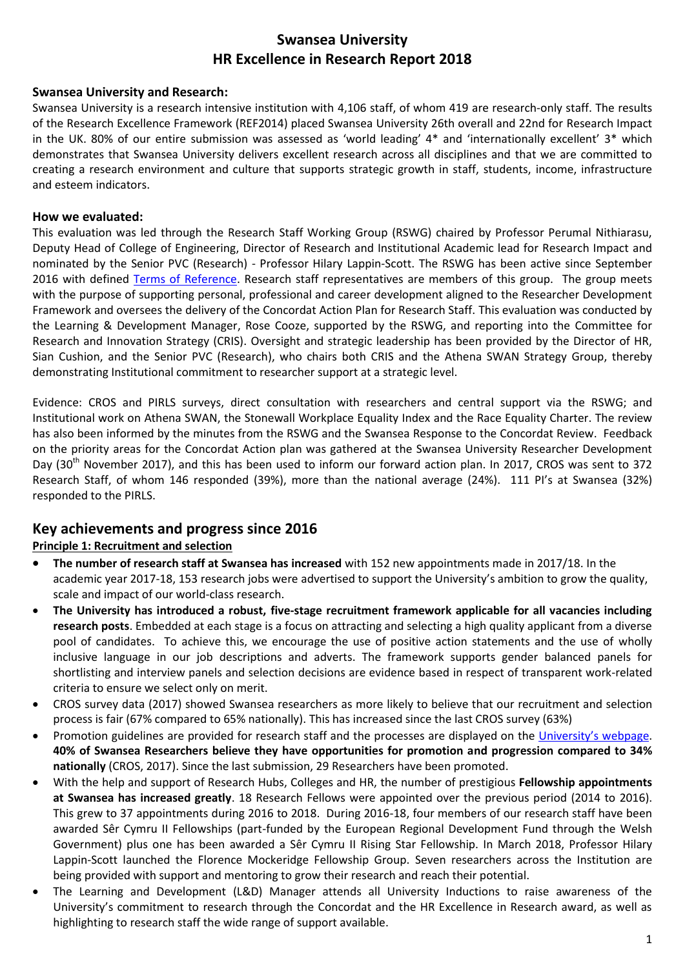# **Swansea University HR Excellence in Research Report 2018**

### **Swansea University and Research:**

Swansea University is a research intensive institution with 4,106 staff, of whom 419 are research-only staff. The results of the Research Excellence Framework (REF2014) placed Swansea University 26th overall and 22nd for Research Impact in the UK. 80% of our entire submission was assessed as 'world leading' 4\* and 'internationally excellent' 3\* which demonstrates that Swansea University delivers excellent research across all disciplines and that we are committed to creating a research environment and culture that supports strategic growth in staff, students, income, infrastructure and esteem indicators.

# **How we evaluated:**

This evaluation was led through the Research Staff Working Group (RSWG) chaired by Professor Perumal Nithiarasu, Deputy Head of College of Engineering, Director of Research and Institutional Academic lead for Research Impact and nominated by the Senior PVC (Research) - Professor Hilary Lappin-Scott. The RSWG has been active since September 2016 with defined [Terms of Reference.](https://www.swansea.ac.uk/media/Research-Staff-Working-Group-Terms-of-Reference.pdf) Research staff representatives are members of this group. The group meets with the purpose of supporting personal, professional and career development aligned to the Researcher Development Framework and oversees the delivery of the Concordat Action Plan for Research Staff. This evaluation was conducted by the Learning & Development Manager, Rose Cooze, supported by the RSWG, and reporting into the Committee for Research and Innovation Strategy (CRIS). Oversight and strategic leadership has been provided by the Director of HR, Sian Cushion, and the Senior PVC (Research), who chairs both CRIS and the Athena SWAN Strategy Group, thereby demonstrating Institutional commitment to researcher support at a strategic level.

Evidence: CROS and PIRLS surveys, direct consultation with researchers and central support via the RSWG; and Institutional work on Athena SWAN, the Stonewall Workplace Equality Index and the Race Equality Charter. The review has also been informed by the minutes from the RSWG and the Swansea Response to the Concordat Review. Feedback on the priority areas for the Concordat Action plan was gathered at the Swansea University Researcher Development Day (30<sup>th</sup> November 2017), and this has been used to inform our forward action plan. In 2017, CROS was sent to 372 Research Staff, of whom 146 responded (39%), more than the national average (24%). 111 PI's at Swansea (32%) responded to the PIRLS.

# **Key achievements and progress since 2016**

# **Principle 1: Recruitment and selection**

- **The number of research staff at Swansea has increased** with 152 new appointments made in 2017/18. In the academic year 2017-18, 153 research jobs were advertised to support the University's ambition to grow the quality, scale and impact of our world-class research.
- **The University has introduced a robust, five-stage recruitment framework applicable for all vacancies including research posts**. Embedded at each stage is a focus on attracting and selecting a high quality applicant from a diverse pool of candidates. To achieve this, we encourage the use of positive action statements and the use of wholly inclusive language in our job descriptions and adverts. The framework supports gender balanced panels for shortlisting and interview panels and selection decisions are evidence based in respect of transparent work-related criteria to ensure we select only on merit.
- CROS survey data (2017) showed Swansea researchers as more likely to believe that our recruitment and selection process is fair (67% compared to 65% nationally). This has increased since the last CROS survey (63%)
- Promotion guidelines are provided for research staff and the processes are displayed on the [University's webpage](https://www.swansea.ac.uk/personnel/promotions/promotionprocessfortutorsandresearchstaff/). **40% of Swansea Researchers believe they have opportunities for promotion and progression compared to 34% nationally** (CROS, 2017). Since the last submission, 29 Researchers have been promoted.
- With the help and support of Research Hubs, Colleges and HR, the number of prestigious **Fellowship appointments at Swansea has increased greatly**. 18 Research Fellows were appointed over the previous period (2014 to 2016). This grew to 37 appointments during 2016 to 2018. During 2016-18, four members of our research staff have been awarded Sêr Cymru II Fellowships (part-funded by the European Regional Development Fund through the Welsh Government) plus one has been awarded a Sêr Cymru II Rising Star Fellowship. In March 2018, Professor Hilary Lappin-Scott launched the Florence Mockeridge Fellowship Group. Seven researchers across the Institution are being provided with support and mentoring to grow their research and reach their potential.
- The Learning and Development (L&D) Manager attends all University Inductions to raise awareness of the University's commitment to research through the Concordat and the HR Excellence in Research award, as well as highlighting to research staff the wide range of support available.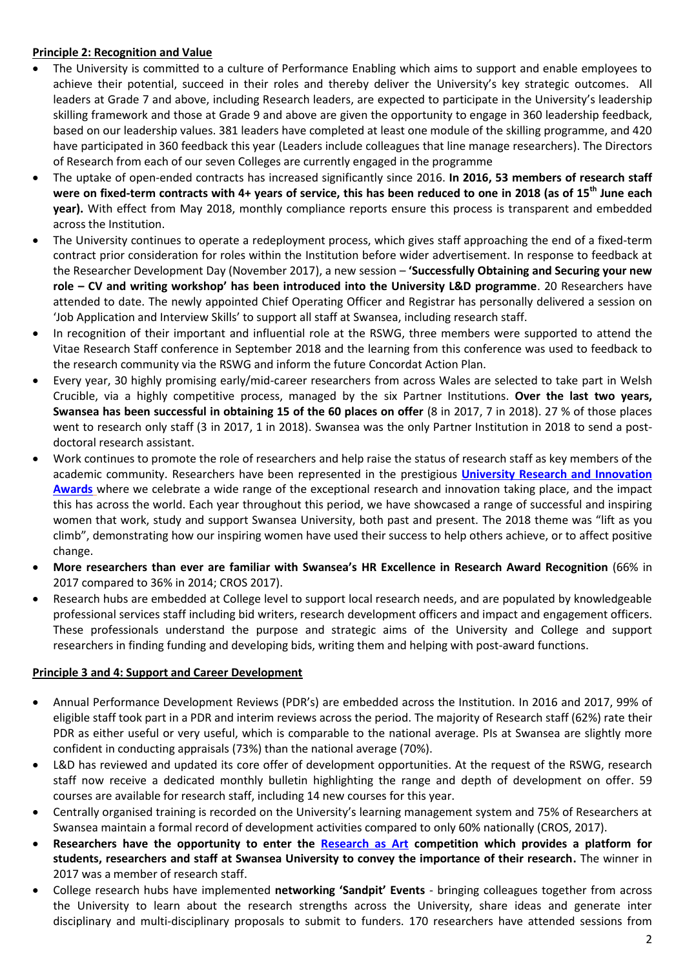### **Principle 2: Recognition and Value**

- The University is committed to a culture of Performance Enabling which aims to support and enable employees to achieve their potential, succeed in their roles and thereby deliver the University's key strategic outcomes. All leaders at Grade 7 and above, including Research leaders, are expected to participate in the University's leadership skilling framework and those at Grade 9 and above are given the opportunity to engage in 360 leadership feedback, based on our leadership values. 381 leaders have completed at least one module of the skilling programme, and 420 have participated in 360 feedback this year (Leaders include colleagues that line manage researchers). The Directors of Research from each of our seven Colleges are currently engaged in the programme
- The uptake of open-ended contracts has increased significantly since 2016. **In 2016, 53 members of research staff were on fixed-term contracts with 4+ years of service, this has been reduced to one in 2018 (as of 15th June each year).** With effect from May 2018, monthly compliance reports ensure this process is transparent and embedded across the Institution.
- The University continues to operate a redeployment process, which gives staff approaching the end of a fixed-term contract prior consideration for roles within the Institution before wider advertisement. In response to feedback at the Researcher Development Day (November 2017), a new session – **'Successfully Obtaining and Securing your new role – CV and writing workshop' has been introduced into the University L&D programme**. 20 Researchers have attended to date. The newly appointed Chief Operating Officer and Registrar has personally delivered a session on 'Job Application and Interview Skills' to support all staff at Swansea, including research staff.
- In recognition of their important and influential role at the RSWG, three members were supported to attend the Vitae Research Staff conference in September 2018 and the learning from this conference was used to feedback to the research community via the RSWG and inform the future Concordat Action Plan.
- Every year, 30 highly promising early/mid-career researchers from across Wales are selected to take part in Welsh Crucible, via a highly competitive process, managed by the six Partner Institutions. **Over the last two years, Swansea has been successful in obtaining 15 of the 60 places on offer** (8 in 2017, 7 in 2018). 27 % of those places went to research only staff (3 in 2017, 1 in 2018). Swansea was the only Partner Institution in 2018 to send a postdoctoral research assistant.
- Work continues to promote the role of researchers and help raise the status of research staff as key members of the academic community. Researchers have been represented in the prestigious **[University Research and Innovation](https://swanseauniversity.com/t/22V5-5QQ1L-2ANQUM3AB3/cr.aspx?dm_i=22V8,5WNUG,OOOPU7,N4GGC,1)  [Awards](https://swanseauniversity.com/t/22V5-5QQ1L-2ANQUM3AB3/cr.aspx?dm_i=22V8,5WNUG,OOOPU7,N4GGC,1)** where we celebrate a wide range of the exceptional research and innovation taking place, and the impact this has across the world. Each year throughout this period, we have showcased a range of successful and inspiring women that work, study and support Swansea University, both past and present. The 2018 theme was "lift as you climb", demonstrating how our inspiring women have used their success to help others achieve, or to affect positive change.
- **More researchers than ever are familiar with Swansea's HR Excellence in Research Award Recognition** (66% in 2017 compared to 36% in 2014; CROS 2017).
- Research hubs are embedded at College level to support local research needs, and are populated by knowledgeable professional services staff including bid writers, research development officers and impact and engagement officers. These professionals understand the purpose and strategic aims of the University and College and support researchers in finding funding and developing bids, writing them and helping with post-award functions.

#### **Principle 3 and 4: Support and Career Development**

- Annual Performance Development Reviews (PDR's) are embedded across the Institution. In 2016 and 2017, 99% of eligible staff took part in a PDR and interim reviews across the period. The majority of Research staff (62%) rate their PDR as either useful or very useful, which is comparable to the national average. PIs at Swansea are slightly more confident in conducting appraisals (73%) than the national average (70%).
- L&D has reviewed and updated its core offer of development opportunities. At the request of the RSWG, research staff now receive a dedicated monthly bulletin highlighting the range and depth of development on offer. 59 courses are available for research staff, including 14 new courses for this year.
- Centrally organised training is recorded on the University's learning management system and 75% of Researchers at Swansea maintain a formal record of development activities compared to only 60% nationally (CROS, 2017).
- **Researchers have the opportunity to enter the [Research as Art](https://www.swansea.ac.uk/research/in-the-community/research-as-art/) competition which provides a platform for students, researchers and staff at Swansea University to convey the importance of their research.** The winner in 2017 was a member of research staff.
- College research hubs have implemented **networking 'Sandpit' Events** bringing colleagues together from across the University to learn about the research strengths across the University, share ideas and generate inter disciplinary and multi-disciplinary proposals to submit to funders. 170 researchers have attended sessions from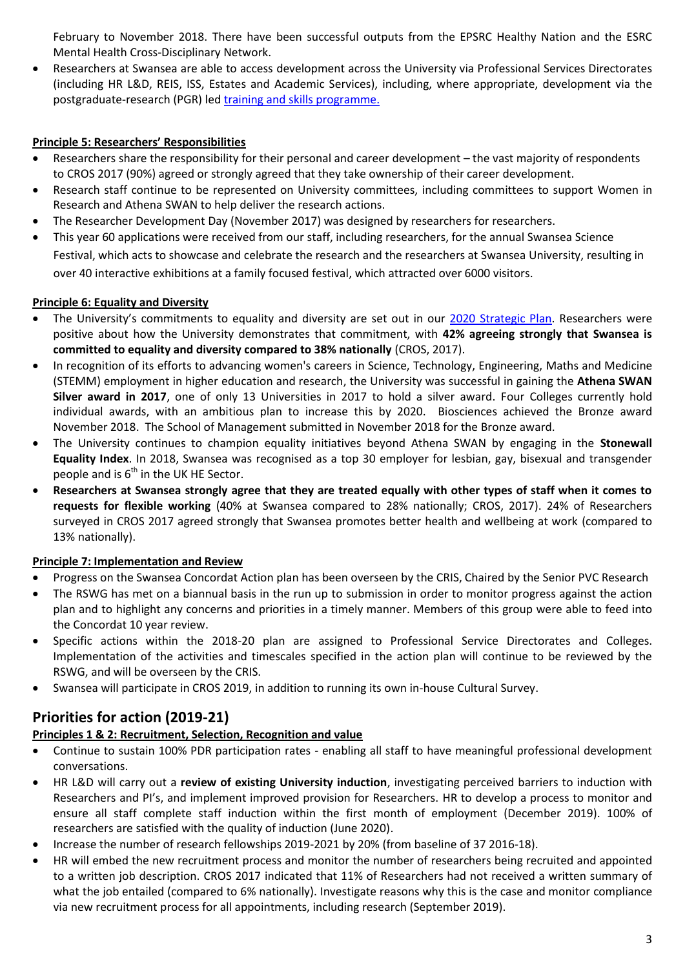February to November 2018. There have been successful outputs from the EPSRC Healthy Nation and the ESRC Mental Health Cross-Disciplinary Network.

 Researchers at Swansea are able to access development across the University via Professional Services Directorates (including HR L&D, REIS, ISS, Estates and Academic Services), including, where appropriate, development via the postgraduate-research (PGR) le[d training and skills programme.](https://www.swansea.ac.uk/research/undertake-research-with-us/postgraduate-research/training-and-skills-development-programme/)

# **Principle 5: Researchers' Responsibilities**

- Researchers share the responsibility for their personal and career development the vast majority of respondents to CROS 2017 (90%) agreed or strongly agreed that they take ownership of their career development.
- Research staff continue to be represented on University committees, including committees to support Women in Research and Athena SWAN to help deliver the research actions.
- The Researcher Development Day (November 2017) was designed by researchers for researchers.
- This year 60 applications were received from our staff, including researchers, for the annual Swansea Science Festival, which acts to showcase and celebrate the research and the researchers at Swansea University, resulting in over 40 interactive exhibitions at a family focused festival, which attracted over 6000 visitors.

# **Principle 6: Equality and Diversity**

- The University's commitments to equality and diversity are set out in our [2020 Strategic Plan.](https://www.swansea.ac.uk/media/Strategic%20Plan%202020%20English%20Web.pdf) Researchers were positive about how the University demonstrates that commitment, with **42% agreeing strongly that Swansea is committed to equality and diversity compared to 38% nationally** (CROS, 2017).
- In recognition of its efforts to advancing women's careers in Science, Technology, Engineering, Maths and Medicine (STEMM) employment in higher education and research, the University was successful in gaining the **Athena SWAN Silver award in 2017**, one of only 13 Universities in 2017 to hold a silver award. Four Colleges currently hold individual awards, with an ambitious plan to increase this by 2020. Biosciences achieved the Bronze award November 2018. The School of Management submitted in November 2018 for the Bronze award.
- The University continues to champion equality initiatives beyond Athena SWAN by engaging in the **Stonewall Equality Index**. In 2018, Swansea was recognised as a top 30 employer for lesbian, gay, bisexual and transgender people and is  $6^{th}$  in the UK HE Sector.
- **Researchers at Swansea strongly agree that they are treated equally with other types of staff when it comes to requests for flexible working** (40% at Swansea compared to 28% nationally; CROS, 2017). 24% of Researchers surveyed in CROS 2017 agreed strongly that Swansea promotes better health and wellbeing at work (compared to 13% nationally).

### **Principle 7: Implementation and Review**

- Progress on the Swansea Concordat Action plan has been overseen by the CRIS, Chaired by the Senior PVC Research
- The RSWG has met on a biannual basis in the run up to submission in order to monitor progress against the action plan and to highlight any concerns and priorities in a timely manner. Members of this group were able to feed into the Concordat 10 year review.
- Specific actions within the 2018-20 plan are assigned to Professional Service Directorates and Colleges. Implementation of the activities and timescales specified in the action plan will continue to be reviewed by the RSWG, and will be overseen by the CRIS.
- Swansea will participate in CROS 2019, in addition to running its own in-house Cultural Survey.

# **Priorities for action (2019-21)**

# **Principles 1 & 2: Recruitment, Selection, Recognition and value**

- Continue to sustain 100% PDR participation rates enabling all staff to have meaningful professional development conversations.
- HR L&D will carry out a **review of existing University induction**, investigating perceived barriers to induction with Researchers and PI's, and implement improved provision for Researchers. HR to develop a process to monitor and ensure all staff complete staff induction within the first month of employment (December 2019). 100% of researchers are satisfied with the quality of induction (June 2020).
- Increase the number of research fellowships 2019-2021 by 20% (from baseline of 37 2016-18).
- HR will embed the new recruitment process and monitor the number of researchers being recruited and appointed to a written job description. CROS 2017 indicated that 11% of Researchers had not received a written summary of what the job entailed (compared to 6% nationally). Investigate reasons why this is the case and monitor compliance via new recruitment process for all appointments, including research (September 2019).